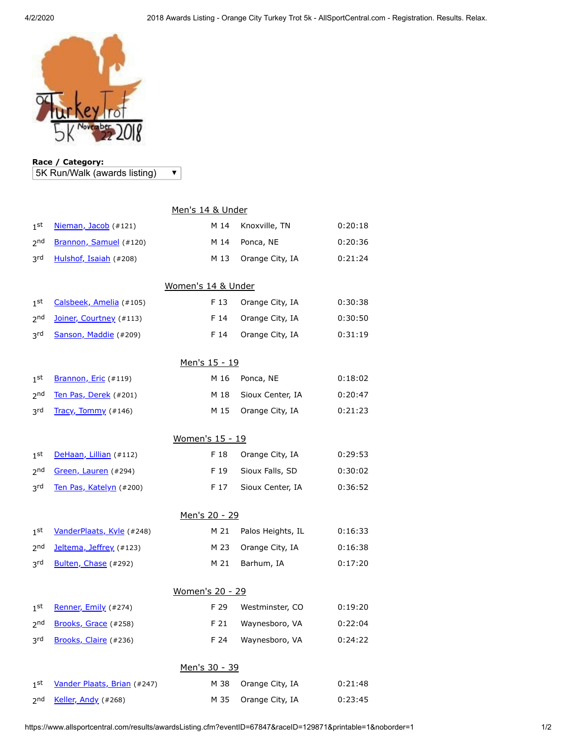

## **Race / Category:** 5K Run/Walk (awards listing)

 $\overline{\textbf{v}}$ 

|                      |                             | Men's 14 & Under |                   |         |  |  |  |
|----------------------|-----------------------------|------------------|-------------------|---------|--|--|--|
| $1^{\rm st}$         | Nieman, Jacob (#121)        | M 14             | Knoxville, TN     | 0:20:18 |  |  |  |
| 2 <sub>nd</sub>      | Brannon, Samuel (#120)      | M 14             | Ponca, NE         | 0:20:36 |  |  |  |
| 3rd                  | Hulshof, Isaiah (#208)      | M 13             | Orange City, IA   | 0:21:24 |  |  |  |
| Women's 14 & Under   |                             |                  |                   |         |  |  |  |
| 1 <sup>st</sup>      | Calsbeek, Amelia (#105)     | F 13             | Orange City, IA   | 0:30:38 |  |  |  |
| 2 <sub>nd</sub>      | Joiner, Courtney (#113)     | F 14             | Orange City, IA   | 0:30:50 |  |  |  |
| 3rd                  | Sanson, Maddie (#209)       | F 14             | Orange City, IA   | 0:31:19 |  |  |  |
| <u>Men's 15 - 19</u> |                             |                  |                   |         |  |  |  |
| 1 <sup>st</sup>      | Brannon, Eric (#119)        | M 16             | Ponca, NE         | 0:18:02 |  |  |  |
| 2 <sub>nd</sub>      | Ten Pas, Derek (#201)       | M 18             | Sioux Center, IA  | 0:20:47 |  |  |  |
| 3 <sup>rd</sup>      | Tracy, Tommy (#146)         | M 15             | Orange City, IA   | 0:21:23 |  |  |  |
| Women's 15 - 19      |                             |                  |                   |         |  |  |  |
| 1 <sup>st</sup>      | DeHaan, Lillian (#112)      | F 18             | Orange City, IA   | 0:29:53 |  |  |  |
| 2 <sub>nd</sub>      | Green, Lauren (#294)        | F 19             | Sioux Falls, SD   | 0:30:02 |  |  |  |
| 3rd                  | Ten Pas, Katelyn (#200)     | F 17             | Sioux Center, IA  | 0:36:52 |  |  |  |
| Men's 20 - 29        |                             |                  |                   |         |  |  |  |
| 1 <sup>st</sup>      | VanderPlaats, Kyle (#248)   | M 21             | Palos Heights, IL | 0:16:33 |  |  |  |
| 2 <sub>nd</sub>      | Jeltema, Jeffrey (#123)     | M 23             | Orange City, IA   | 0:16:38 |  |  |  |
| 3rd                  | Bulten, Chase (#292)        | M 21             | Barhum, IA        | 0:17:20 |  |  |  |
| Women's 20 - 29      |                             |                  |                   |         |  |  |  |
| 1 <sup>st</sup>      | Renner, Emily (#274)        | F 29             | Westminster, CO   | 0:19:20 |  |  |  |
| 2 <sub>nd</sub>      | Brooks, Grace (#258)        | F 21             | Waynesboro, VA    | 0:22:04 |  |  |  |
| 3 <sup>rd</sup>      | Brooks, Claire (#236)       | F 24             | Waynesboro, VA    | 0:24:22 |  |  |  |
| Men's 30 - 39        |                             |                  |                   |         |  |  |  |
| 1 <sub>st</sub>      | Vander Plaats, Brian (#247) | M 38             | Orange City, IA   | 0:21:48 |  |  |  |
| 2 <sub>nd</sub>      | Keller, Andy (#268)         | M 35             | Orange City, IA   | 0:23:45 |  |  |  |

https://www.allsportcentral.com/results/awardsListing.cfm?eventID=67847&raceID=129871&printable=1&noborder=1